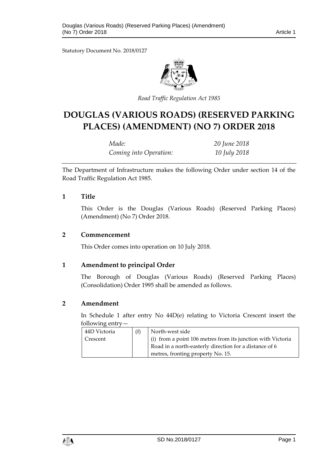Statutory Document No. 2018/0127



*Road Traffic Regulation Act 1985*

# **DOUGLAS (VARIOUS ROADS) (RESERVED PARKING PLACES) (AMENDMENT) (NO 7) ORDER 2018**

| Made:                  | 20 June 2018 |
|------------------------|--------------|
| Coming into Operation: | 10 July 2018 |

The Department of Infrastructure makes the following Order under section 14 of the Road Traffic Regulation Act 1985.

#### **1 Title**

This Order is the Douglas (Various Roads) (Reserved Parking Places) (Amendment) (No 7) Order 2018.

#### **2 Commencement**

This Order comes into operation on 10 July 2018.

#### **1 Amendment to principal Order**

The Borough of Douglas (Various Roads) (Reserved Parking Places) (Consolidation) Order 1995 shall be amended as follows.

#### **2 Amendment**

In Schedule 1 after entry No 44D(e) relating to Victoria Crescent insert the following entry—

| 44D Victoria | (f) | North-west side                                             |
|--------------|-----|-------------------------------------------------------------|
| Crescent     |     | (i) from a point 106 metres from its junction with Victoria |
|              |     | Road in a north-easterly direction for a distance of 6      |
|              |     | metres, fronting property No. 15.                           |

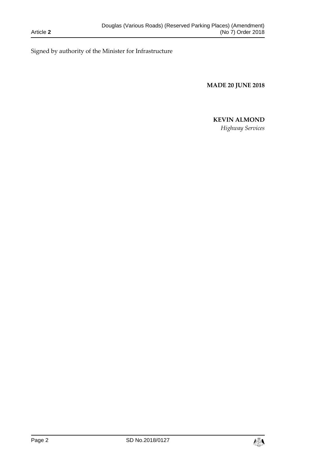Signed by authority of the Minister for Infrastructure

**MADE 20 JUNE 2018**

## **KEVIN ALMOND**

*Highway Services*